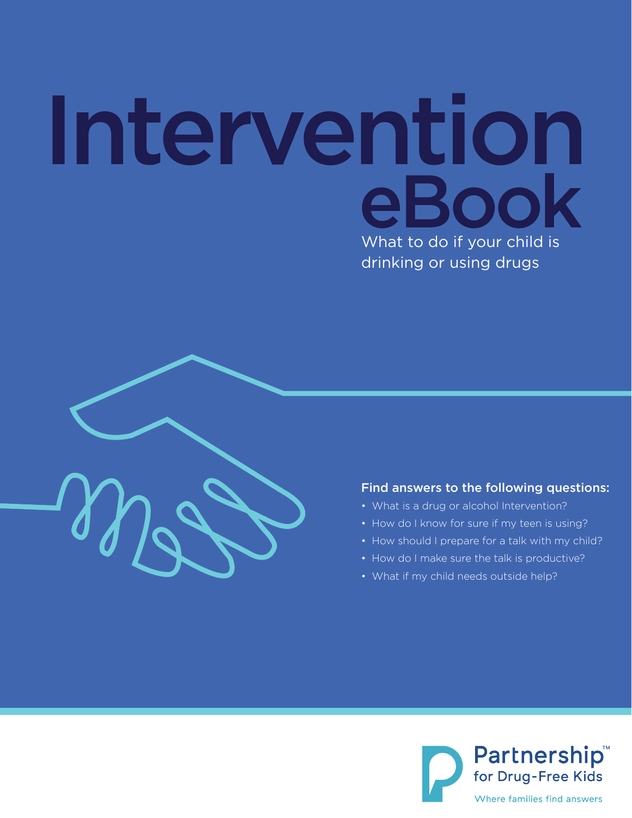# Intervention eBook What to do if your child is drinking or using drugs



#### Find answers to the following questions:

- What is a drug or alcohol Intervention?
- How do I know for sure if my teen is using?
- How should I prepare for a talk with my child?
- How do I make sure the talk is productive?
- What if my child needs outside help?

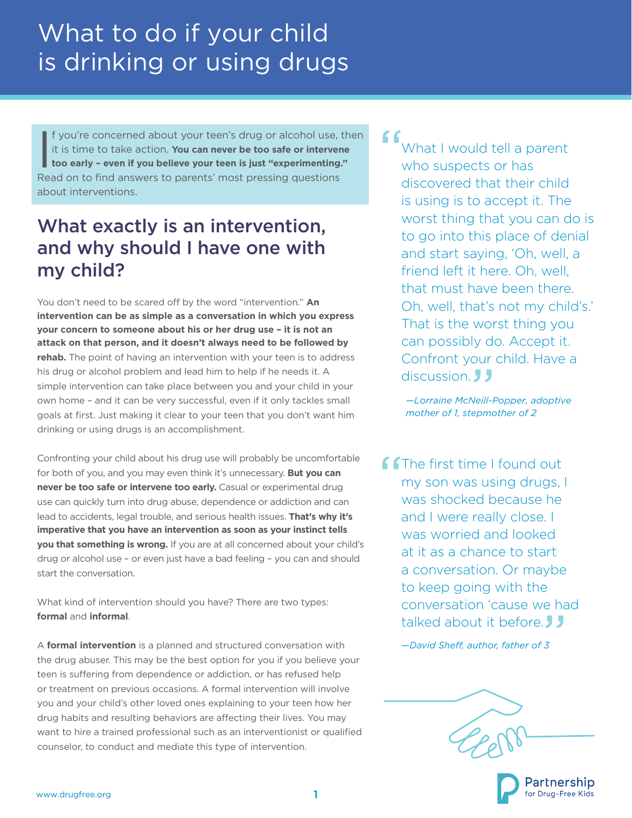If you're concerned about your teen's drug or alcohol use, the it is time to take action. **You can never be too safe or intervene** too early - even if you believe your teen is just "experimenting." f you're concerned about your teen's drug or alcohol use, then it is time to take action. **You can never be too safe or intervene**  Read on to find answers to parents' most pressing questions about interventions.

### What exactly is an intervention, and why should I have one with my child?

You don't need to be scared off by the word "intervention." **An intervention can be as simple as a conversation in which you express your concern to someone about his or her drug use – it is not an attack on that person, and it doesn't always need to be followed by rehab.** The point of having an intervention with your teen is to address his drug or alcohol problem and lead him to help if he needs it. A simple intervention can take place between you and your child in your own home – and it can be very successful, even if it only tackles small goals at first. Just making it clear to your teen that you don't want him drinking or using drugs is an accomplishment.

Confronting your child about his drug use will probably be uncomfortable for both of you, and you may even think it's unnecessary. **But you can never be too safe or intervene too early.** Casual or experimental drug use can quickly turn into drug abuse, dependence or addiction and can lead to accidents, legal trouble, and serious health issues. **That's why it's imperative that you have an intervention as soon as your instinct tells you that something is wrong.** If you are at all concerned about your child's drug or alcohol use – or even just have a bad feeling – you can and should start the conversation.

What kind of intervention should you have? There are two types: **formal** and **informal**.

A **formal intervention** is a planned and structured conversation with the drug abuser. This may be the best option for you if you believe your teen is suffering from dependence or addiction, or has refused help or treatment on previous occasions. A formal intervention will involve you and your child's other loved ones explaining to your teen how her drug habits and resulting behaviors are affecting their lives. You may want to hire a trained professional such as an interventionist or qualified counselor, to conduct and mediate this type of intervention.

### What I would tell a parent who suspects or has discovered that their child is using is to accept it. The worst thing that you can do is to go into this place of denial and start saying, 'Oh, well, a

friend left it here. Oh, well, that must have been there. Oh, well, that's not my child's.' That is the worst thing you can possibly do. Accept it. Confront your child. Have a discussion. **J** J

*—Lorraine McNeill-Popper, adoptive mother of 1, stepmother of 2*

**CET**he first time I found out my son was using drugs, I was shocked because he and I were really close. I was worried and looked at it as a chance to start a conversation. Or maybe to keep going with the conversation 'cause we had talked about it before **J** 

*—David Sheff, author, father of 3*

'artnership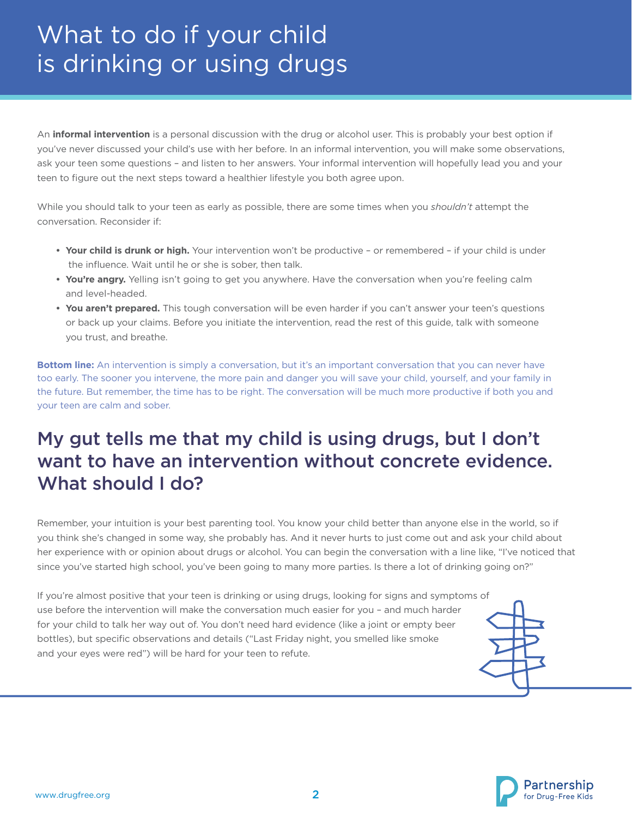An **informal intervention** is a personal discussion with the drug or alcohol user. This is probably your best option if you've never discussed your child's use with her before. In an informal intervention, you will make some observations, ask your teen some questions – and listen to her answers. Your informal intervention will hopefully lead you and your teen to figure out the next steps toward a healthier lifestyle you both agree upon.

While you should talk to your teen as early as possible, there are some times when you *shouldn't* attempt the conversation. Reconsider if:

- **• Your child is drunk or high.** Your intervention won't be productive or remembered if your child is under the influence. Wait until he or she is sober, then talk.
- **• You're angry.** Yelling isn't going to get you anywhere. Have the conversation when you're feeling calm and level-headed.
- **• You aren't prepared.** This tough conversation will be even harder if you can't answer your teen's questions or back up your claims. Before you initiate the intervention, read the rest of this guide, talk with someone you trust, and breathe.

**Bottom line:** An intervention is simply a conversation, but it's an important conversation that you can never have too early. The sooner you intervene, the more pain and danger you will save your child, yourself, and your family in the future. But remember, the time has to be right. The conversation will be much more productive if both you and your teen are calm and sober.

### My gut tells me that my child is using drugs, but I don't want to have an intervention without concrete evidence. What should I do?

Remember, your intuition is your best parenting tool. You know your child better than anyone else in the world, so if you think she's changed in some way, she probably has. And it never hurts to just come out and ask your child about her experience with or opinion about drugs or alcohol. You can begin the conversation with a line like, "I've noticed that since you've started high school, you've been going to many more parties. Is there a lot of drinking going on?"

If you're almost positive that your teen is drinking or using drugs, looking for signs and symptoms of use before the intervention will make the conversation much easier for you – and much harder for your child to talk her way out of. You don't need hard evidence (like a joint or empty beer bottles), but specific observations and details ("Last Friday night, you smelled like smoke and your eyes were red") will be hard for your teen to refute.



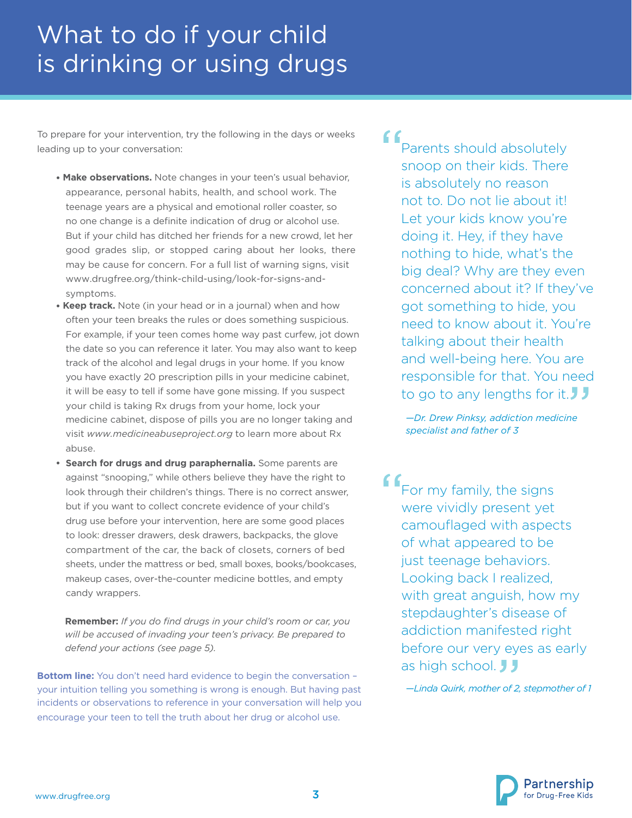To prepare for your intervention, try the following in the days or weeks leading up to your conversation:

- **• Make observations.** Note changes in your teen's usual behavior, appearance, personal habits, health, and school work. The teenage years are a physical and emotional roller coaster, so no one change is a definite indication of drug or alcohol use. But if your child has ditched her friends for a new crowd, let her good grades slip, or stopped caring about her looks, there may be cause for concern. For a full list of warning signs, visit www.drugfree.org/think-child-using/look-for-signs-andsymptoms.
- **• Keep track.** Note (in your head or in a journal) when and how often your teen breaks the rules or does something suspicious. For example, if your teen comes home way past curfew, jot down the date so you can reference it later. You may also want to keep track of the alcohol and legal drugs in your home. If you know you have exactly 20 prescription pills in your medicine cabinet, it will be easy to tell if some have gone missing. If you suspect your child is taking Rx drugs from your home, lock your medicine cabinet, dispose of pills you are no longer taking and visit *www.medicineabuseproject.org* to learn more about Rx abuse.
- **• Search for drugs and drug paraphernalia.** Some parents are against "snooping," while others believe they have the right to look through their children's things. There is no correct answer, but if you want to collect concrete evidence of your child's drug use before your intervention, here are some good places to look: dresser drawers, desk drawers, backpacks, the glove compartment of the car, the back of closets, corners of bed sheets, under the mattress or bed, small boxes, books/bookcases, makeup cases, over-the-counter medicine bottles, and empty candy wrappers.

**Remember:** *If you do find drugs in your child's room or car, you will be accused of invading your teen's privacy. Be prepared to defend your actions (see page 5).*

**Bottom line:** You don't need hard evidence to begin the conversation your intuition telling you something is wrong is enough. But having past incidents or observations to reference in your conversation will help you encourage your teen to tell the truth about her drug or alcohol use.

Parents should absolutely snoop on their kids. There is absolutely no reason not to. Do not lie about it! Let your kids know you're doing it. Hey, if they have nothing to hide, what's the big deal? Why are they even concerned about it? If they've got something to hide, you need to know about it. You're talking about their health and well-being here. You are responsible for that. You need to go to any lengths for it.

> *—Dr. Drew Pinksy, addiction medicine specialist and father of 3*

f For my family, the signs were vividly present yet camouflaged with aspects of what appeared to be just teenage behaviors. Looking back I realized, with great anguish, how my stepdaughter's disease of addiction manifested right before our very eyes as early as high school. **J** 

*—Linda Quirk, mother of 2, stepmother of 1*

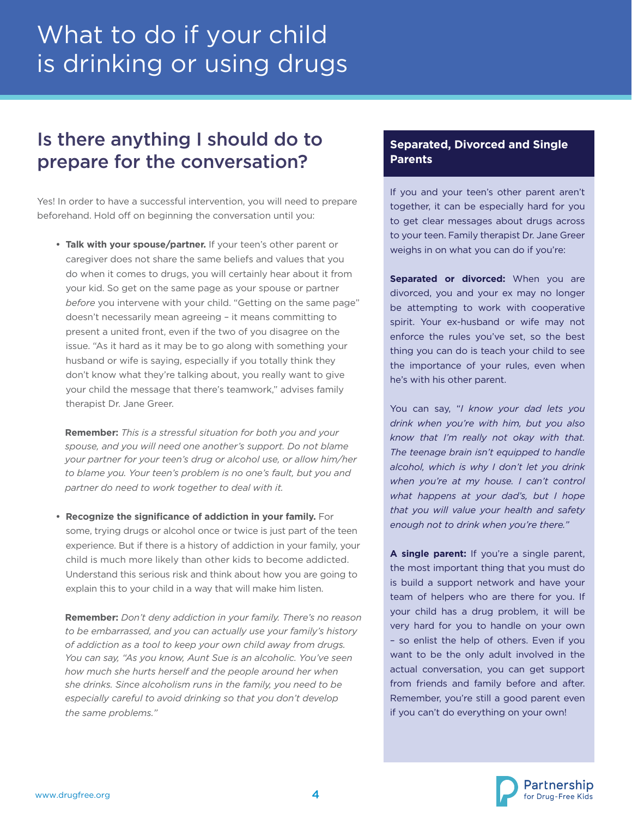### Is there anything I should do to prepare for the conversation?

Yes! In order to have a successful intervention, you will need to prepare beforehand. Hold off on beginning the conversation until you:

**• Talk with your spouse/partner.** If your teen's other parent or caregiver does not share the same beliefs and values that you do when it comes to drugs, you will certainly hear about it from your kid. So get on the same page as your spouse or partner *before* you intervene with your child. "Getting on the same page" doesn't necessarily mean agreeing – it means committing to present a united front, even if the two of you disagree on the issue. "As it hard as it may be to go along with something your husband or wife is saying, especially if you totally think they don't know what they're talking about, you really want to give your child the message that there's teamwork," advises family therapist Dr. Jane Greer.

**Remember:** *This is a stressful situation for both you and your spouse, and you will need one another's support. Do not blame your partner for your teen's drug or alcohol use, or allow him/her to blame you. Your teen's problem is no one's fault, but you and partner do need to work together to deal with it.*

**• Recognize the significance of addiction in your family.** For some, trying drugs or alcohol once or twice is just part of the teen experience. But if there is a history of addiction in your family, your child is much more likely than other kids to become addicted. Understand this serious risk and think about how you are going to explain this to your child in a way that will make him listen.

**Remember:** *Don't deny addiction in your family. There's no reason to be embarrassed, and you can actually use your family's history of addiction as a tool to keep your own child away from drugs. You can say, "As you know, Aunt Sue is an alcoholic. You've seen how much she hurts herself and the people around her when she drinks. Since alcoholism runs in the family, you need to be especially careful to avoid drinking so that you don't develop the same problems."*

#### **Separated, Divorced and Single Parents**

If you and your teen's other parent aren't together, it can be especially hard for you to get clear messages about drugs across to your teen. Family therapist Dr. Jane Greer weighs in on what you can do if you're:

**Separated or divorced:** When you are divorced, you and your ex may no longer be attempting to work with cooperative spirit. Your ex-husband or wife may not enforce the rules you've set, so the best thing you can do is teach your child to see the importance of your rules, even when he's with his other parent.

You can say, "*I know your dad lets you drink when you're with him, but you also know that I'm really not okay with that. The teenage brain isn't equipped to handle alcohol, which is why I don't let you drink when you're at my house. I can't control what happens at your dad's, but I hope that you will value your health and safety enough not to drink when you're there."* 

**A single parent:** If you're a single parent, the most important thing that you must do is build a support network and have your team of helpers who are there for you. If your child has a drug problem, it will be very hard for you to handle on your own – so enlist the help of others. Even if you want to be the only adult involved in the actual conversation, you can get support from friends and family before and after. Remember, you're still a good parent even if you can't do everything on your own!

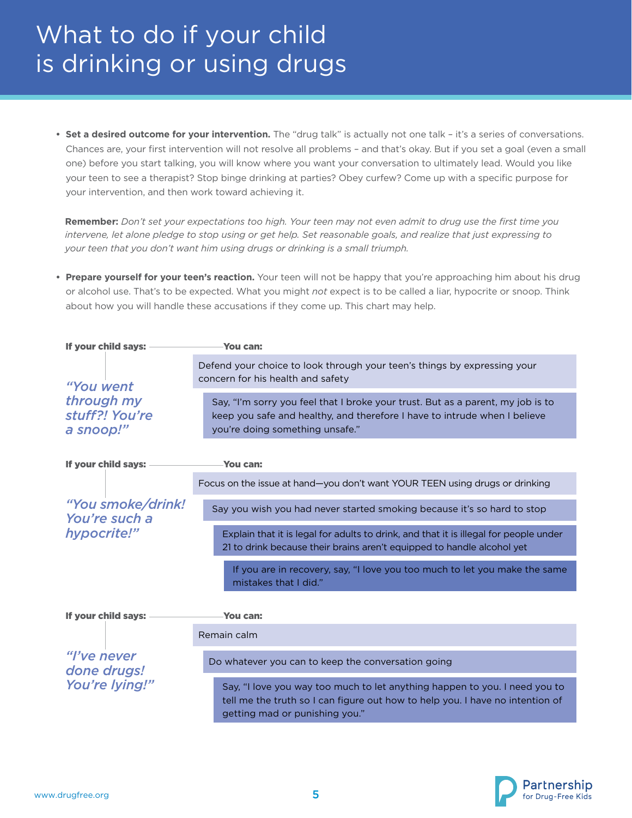**• Set a desired outcome for your intervention.** The "drug talk" is actually not one talk – it's a series of conversations. Chances are, your first intervention will not resolve all problems – and that's okay. But if you set a goal (even a small one) before you start talking, you will know where you want your conversation to ultimately lead. Would you like your teen to see a therapist? Stop binge drinking at parties? Obey curfew? Come up with a specific purpose for your intervention, and then work toward achieving it.

**Remember:** *Don't set your expectations too high. Your teen may not even admit to drug use the first time you intervene, let alone pledge to stop using or get help. Set reasonable goals, and realize that just expressing to your teen that you don't want him using drugs or drinking is a small triumph.* 

**• Prepare yourself for your teen's reaction.** Your teen will not be happy that you're approaching him about his drug or alcohol use. That's to be expected. What you might *not* expect is to be called a liar, hypocrite or snoop. Think about how you will handle these accusations if they come up. This chart may help.



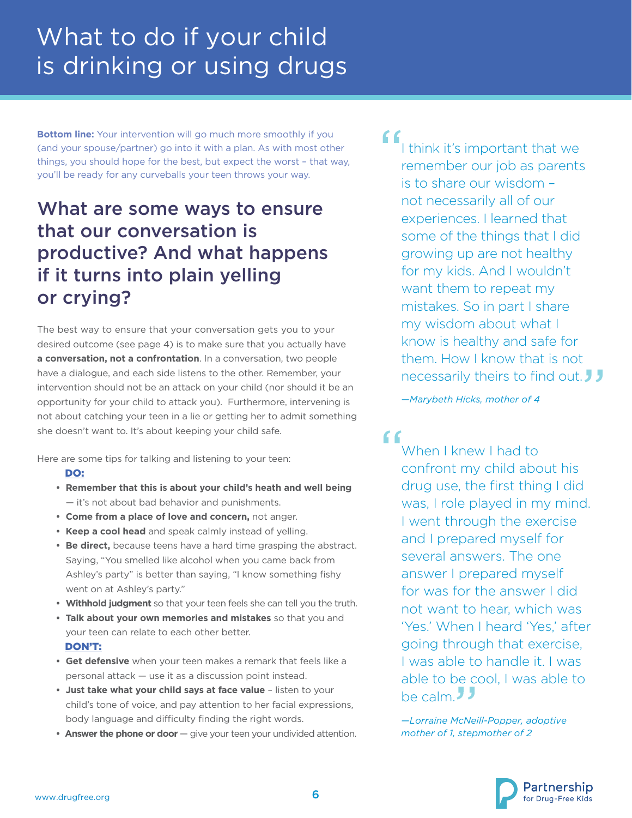**Bottom line:** Your intervention will go much more smoothly if you (and your spouse/partner) go into it with a plan. As with most other things, you should hope for the best, but expect the worst – that way, you'll be ready for any curveballs your teen throws your way.

### What are some ways to ensure that our conversation is productive? And what happens if it turns into plain yelling or crying?

The best way to ensure that your conversation gets you to your desired outcome (see page 4) is to make sure that you actually have **a conversation, not a confrontation**. In a conversation, two people have a dialogue, and each side listens to the other. Remember, your intervention should not be an attack on your child (nor should it be an opportunity for your child to attack you). Furthermore, intervening is not about catching your teen in a lie or getting her to admit something she doesn't want to. It's about keeping your child safe.

Here are some tips for talking and listening to your teen:

#### DO:

- **• Remember that this is about your child's heath and well being** — it's not about bad behavior and punishments.
- **Come from a place of love and concern,** not anger.
- **Keep a cool head** and speak calmly instead of yelling.
- **• Be direct,** because teens have a hard time grasping the abstract. Saying, "You smelled like alcohol when you came back from Ashley's party" is better than saying, "I know something fishy went on at Ashley's party."
- **• Withhold judgment** so that your teen feels she can tell you the truth.
- **• Talk about your own memories and mistakes** so that you and your teen can relate to each other better. DON'T:
- **• Get defensive** when your teen makes a remark that feels like a personal attack — use it as a discussion point instead.
- **• Just take what your child says at face value**  listen to your child's tone of voice, and pay attention to her facial expressions, body language and difficulty finding the right words.
- **Answer the phone or door** give your teen your undivided attention.

#### $66$ I think it's important that we remember our job as parents is to share our wisdom – not necessarily all of our experiences. I learned that some of the things that I did growing up are not healthy for my kids. And I wouldn't want them to repeat my mistakes. So in part I share

my wisdom about what I know is healthy and safe for them. How I know that is not necessarily theirs to find out.

*—Marybeth Hicks, mother of 4*

 $66$ When I knew I had to confront my child about his drug use, the first thing I did was, I role played in my mind. I went through the exercise and I prepared myself for several answers. The one answer I prepared myself for was for the answer I did not want to hear, which was 'Yes.' When I heard 'Yes,' after going through that exercise, I was able to handle it. I was able to be cool, I was able to be calm<sup>1</sup>

*—Lorraine McNeill-Popper, adoptive mother of 1, stepmother of 2*

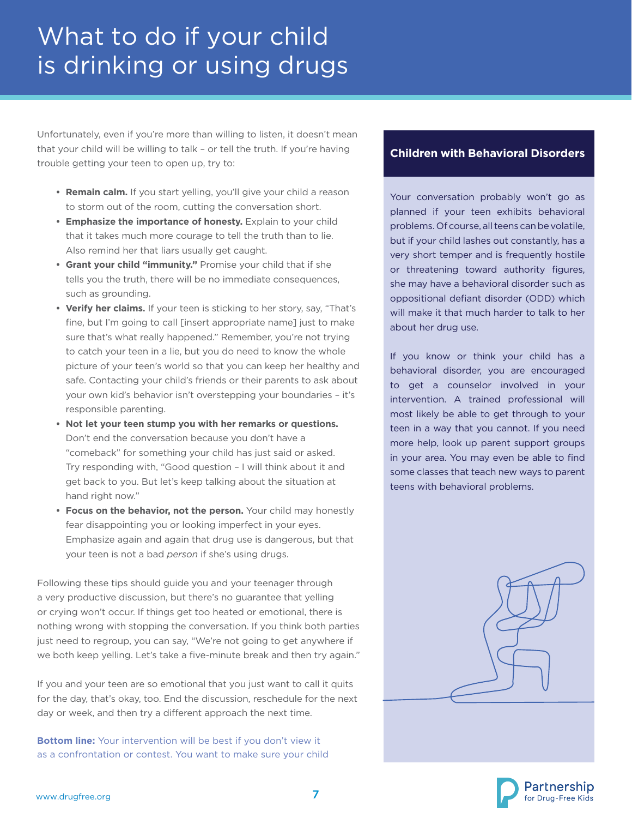Unfortunately, even if you're more than willing to listen, it doesn't mean that your child will be willing to talk – or tell the truth. If you're having trouble getting your teen to open up, try to:

- **• Remain calm.** If you start yelling, you'll give your child a reason to storm out of the room, cutting the conversation short.
- **• Emphasize the importance of honesty.** Explain to your child that it takes much more courage to tell the truth than to lie. Also remind her that liars usually get caught.
- **• Grant your child "immunity."** Promise your child that if she tells you the truth, there will be no immediate consequences, such as grounding.
- **• Verify her claims.** If your teen is sticking to her story, say, "That's fine, but I'm going to call [insert appropriate name] just to make sure that's what really happened." Remember, you're not trying to catch your teen in a lie, but you do need to know the whole picture of your teen's world so that you can keep her healthy and safe. Contacting your child's friends or their parents to ask about your own kid's behavior isn't overstepping your boundaries – it's responsible parenting.
- **• Not let your teen stump you with her remarks or questions.** Don't end the conversation because you don't have a "comeback" for something your child has just said or asked. Try responding with, "Good question – I will think about it and get back to you. But let's keep talking about the situation at hand right now."
- **•** Focus on the behavior, not the person. Your child may honestly fear disappointing you or looking imperfect in your eyes. Emphasize again and again that drug use is dangerous, but that your teen is not a bad *person* if she's using drugs.

Following these tips should guide you and your teenager through a very productive discussion, but there's no guarantee that yelling or crying won't occur. If things get too heated or emotional, there is nothing wrong with stopping the conversation. If you think both parties just need to regroup, you can say, "We're not going to get anywhere if we both keep yelling. Let's take a five-minute break and then try again."

If you and your teen are so emotional that you just want to call it quits for the day, that's okay, too. End the discussion, reschedule for the next day or week, and then try a different approach the next time.

**Bottom line:** Your intervention will be best if you don't view it as a confrontation or contest. You want to make sure your child

#### **Children with Behavioral Disorders**

Your conversation probably won't go as planned if your teen exhibits behavioral problems. Of course, all teens can be volatile, but if your child lashes out constantly, has a very short temper and is frequently hostile or threatening toward authority figures, she may have a behavioral disorder such as oppositional defiant disorder (ODD) which will make it that much harder to talk to her about her drug use.

If you know or think your child has a behavioral disorder, you are encouraged to get a counselor involved in your intervention. A trained professional will most likely be able to get through to your teen in a way that you cannot. If you need more help, look up parent support groups in your area. You may even be able to find some classes that teach new ways to parent teens with behavioral problems.



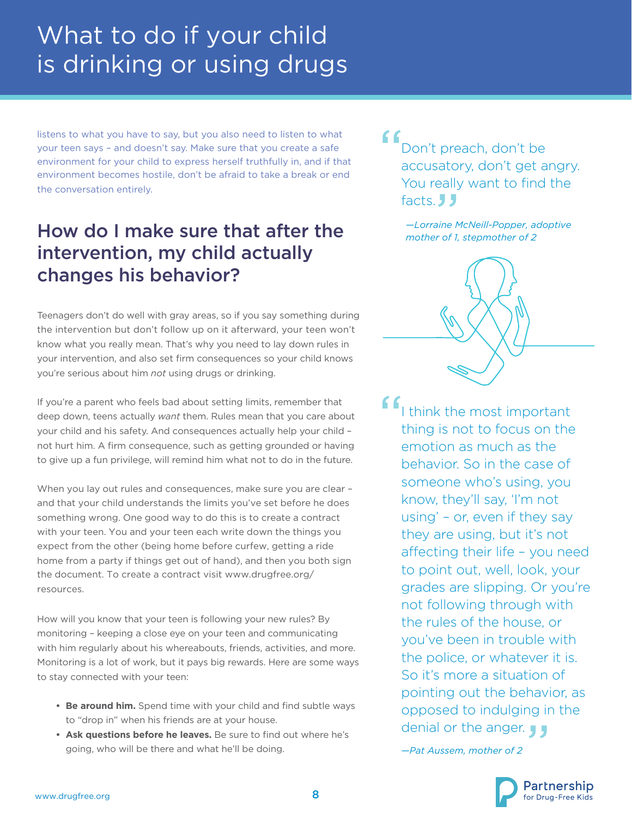listens to what you have to say, but you also need to listen to what your teen says – and doesn't say. Make sure that you create a safe environment for your child to express herself truthfully in, and if that environment becomes hostile, don't be afraid to take a break or end the conversation entirely.

### How do I make sure that after the intervention, my child actually changes his behavior?

Teenagers don't do well with gray areas, so if you say something during the intervention but don't follow up on it afterward, your teen won't know what you really mean. That's why you need to lay down rules in your intervention, and also set firm consequences so your child knows you're serious about him *not* using drugs or drinking.

If you're a parent who feels bad about setting limits, remember that deep down, teens actually *want* them. Rules mean that you care about your child and his safety. And consequences actually help your child – not hurt him. A firm consequence, such as getting grounded or having to give up a fun privilege, will remind him what not to do in the future.

When you lay out rules and consequences, make sure you are clear and that your child understands the limits you've set before he does something wrong. One good way to do this is to create a contract with your teen. You and your teen each write down the things you expect from the other (being home before curfew, getting a ride home from a party if things get out of hand), and then you both sign the document. To create a contract visit www.drugfree.org/ resources.

How will you know that your teen is following your new rules? By monitoring – keeping a close eye on your teen and communicating with him regularly about his whereabouts, friends, activities, and more. Monitoring is a lot of work, but it pays big rewards. Here are some ways to stay connected with your teen:

- **• Be around him.** Spend time with your child and find subtle ways to "drop in" when his friends are at your house.
- **• Ask questions before he leaves.** Be sure to find out where he's going, who will be there and what he'll be doing.

" Don't preach, don't be accusatory, don't get angry. You really want to find the facts. J.J.

> *—Lorraine McNeill-Popper, adoptive mother of 1, stepmother of 2*



I think the most important thing is not to focus on the emotion as much as the behavior. So in the case of someone who's using, you know, they'll say, 'I'm not using' – or, even if they say they are using, but it's not affecting their life – you need to point out, well, look, your grades are slipping. Or you're not following through with the rules of the house, or you've been in trouble with the police, or whatever it is. So it's more a situation of pointing out the behavior, as opposed to indulging in the denial or the anger.

*—Pat Aussem, mother of 2*

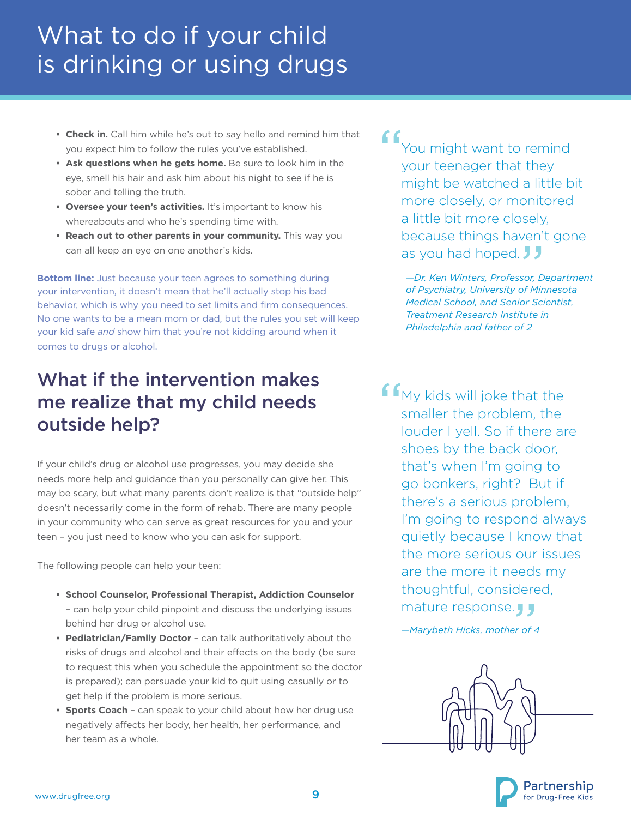- **• Check in.** Call him while he's out to say hello and remind him that you expect him to follow the rules you've established.
- **•** Ask questions when he gets home. Be sure to look him in the eye, smell his hair and ask him about his night to see if he is sober and telling the truth.
- **• Oversee your teen's activities.** It's important to know his whereabouts and who he's spending time with.
- **• Reach out to other parents in your community.** This way you can all keep an eye on one another's kids.

**Bottom line:** Just because your teen agrees to something during your intervention, it doesn't mean that he'll actually stop his bad behavior, which is why you need to set limits and firm consequences. No one wants to be a mean mom or dad, but the rules you set will keep your kid safe *and* show him that you're not kidding around when it comes to drugs or alcohol.

### What if the intervention makes me realize that my child needs outside help?

If your child's drug or alcohol use progresses, you may decide she needs more help and guidance than you personally can give her. This may be scary, but what many parents don't realize is that "outside help" doesn't necessarily come in the form of rehab. There are many people in your community who can serve as great resources for you and your teen – you just need to know who you can ask for support.

The following people can help your teen:

- **• School Counselor, Professional Therapist, Addiction Counselor** – can help your child pinpoint and discuss the underlying issues behind her drug or alcohol use.
- **• Pediatrician/Family Doctor**  can talk authoritatively about the risks of drugs and alcohol and their effects on the body (be sure to request this when you schedule the appointment so the doctor is prepared); can persuade your kid to quit using casually or to get help if the problem is more serious.
- **• Sports Coach**  can speak to your child about how her drug use negatively affects her body, her health, her performance, and her team as a whole.

" You might want to remind your teenager that they might be watched a little bit more closely, or monitored a little bit more closely, because things haven't gone as you had hoped.  $JJ$ 

> *—Dr. Ken Winters, Professor, Department of Psychiatry, University of Minnesota Medical School, and Senior Scientist, Treatment Research Institute in Philadelphia and father of 2*

**f**  $f_{\text{MV}$  kids will joke that the smaller the problem, the louder I yell. So if there are shoes by the back door, that's when I'm going to go bonkers, right? But if there's a serious problem, I'm going to respond always quietly because I know that the more serious our issues are the more it needs my thoughtful, considered, mature response.

*—Marybeth Hicks, mother of 4*



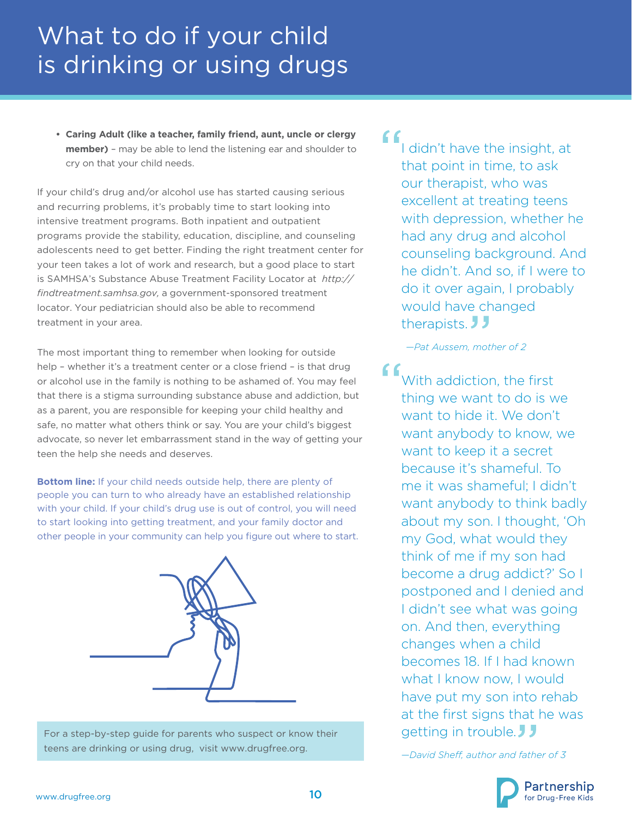**• Caring Adult (like a teacher, family friend, aunt, uncle or clergy member)** – may be able to lend the listening ear and shoulder to cry on that your child needs.

If your child's drug and/or alcohol use has started causing serious and recurring problems, it's probably time to start looking into intensive treatment programs. Both inpatient and outpatient programs provide the stability, education, discipline, and counseling adolescents need to get better. Finding the right treatment center for your teen takes a lot of work and research, but a good place to start is SAMHSA's Substance Abuse Treatment Facility Locator at *http:// findtreatment.samhsa.gov,* a government-sponsored treatment locator. Your pediatrician should also be able to recommend treatment in your area.

The most important thing to remember when looking for outside help – whether it's a treatment center or a close friend – is that drug or alcohol use in the family is nothing to be ashamed of. You may feel that there is a stigma surrounding substance abuse and addiction, but as a parent, you are responsible for keeping your child healthy and safe, no matter what others think or say. You are your child's biggest advocate, so never let embarrassment stand in the way of getting your teen the help she needs and deserves.

**Bottom line:** If your child needs outside help, there are plenty of people you can turn to who already have an established relationship with your child. If your child's drug use is out of control, you will need to start looking into getting treatment, and your family doctor and other people in your community can help you figure out where to start.



For a step-by-step guide for parents who suspect or know their teens are drinking or using drug, visit www.drugfree.org.

#### $66$ I didn't have the insight, at that point in time, to ask our therapist, who was excellent at treating teens with depression, whether he had any drug and alcohol counseling background. And he didn't. And so, if I were to do it over again, I probably would have changed therapists. JJ

*—Pat Aussem, mother of 2*

With addiction, the first thing we want to do is we want to hide it. We don't want anybody to know, we want to keep it a secret because it's shameful. To me it was shameful; I didn't want anybody to think badly about my son. I thought, 'Oh my God, what would they think of me if my son had become a drug addict?' So I postponed and I denied and I didn't see what was going on. And then, everything changes when a child becomes 18. If I had known what I know now, I would have put my son into rehab at the first signs that he was getting in trouble.

*—David Sheff, author and father of 3*